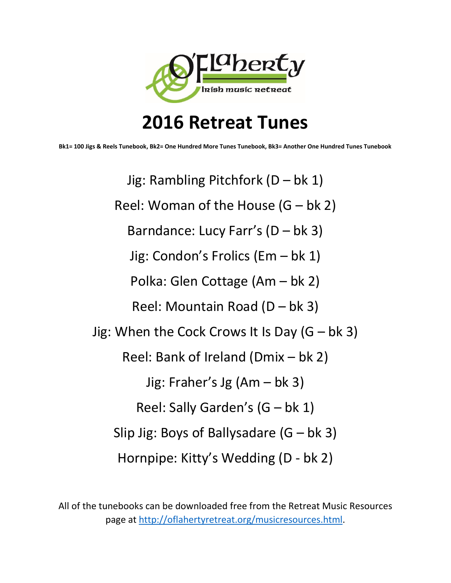

# **2016 Retreat Tunes**

**Bk1= 100 Jigs & Reels Tunebook, Bk2= One Hundred More Tunes Tunebook, Bk3= Another One Hundred Tunes Tunebook**

Jig: Rambling Pitchfork (D – bk 1) Reel: Woman of the House  $(G - bk 2)$ Barndance: Lucy Farr's (D – bk 3) Jig: Condon's Frolics (Em – bk 1) Polka: Glen Cottage (Am – bk 2) Reel: Mountain Road (D – bk 3) Jig: When the Cock Crows It Is Day  $(G - bk 3)$ Reel: Bank of Ireland (Dmix – bk 2) Jig: Fraher's Jg (Am – bk 3) Reel: Sally Garden's (G – bk 1) Slip Jig: Boys of Ballysadare  $(G - bk 3)$ Hornpipe: Kitty's Wedding (D - bk 2)

All of the tunebooks can be downloaded free from the Retreat Music Resources page at [http://oflahertyretreat.org/musicresources.html.](http://oflahertyretreat.org/musicresources.html)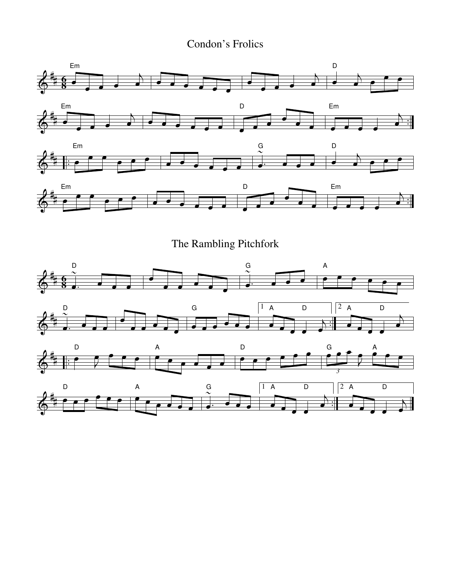Condon's Frolics

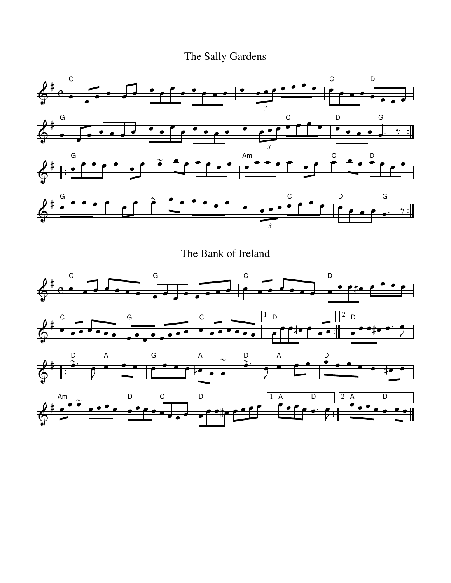# The Sally Gardens





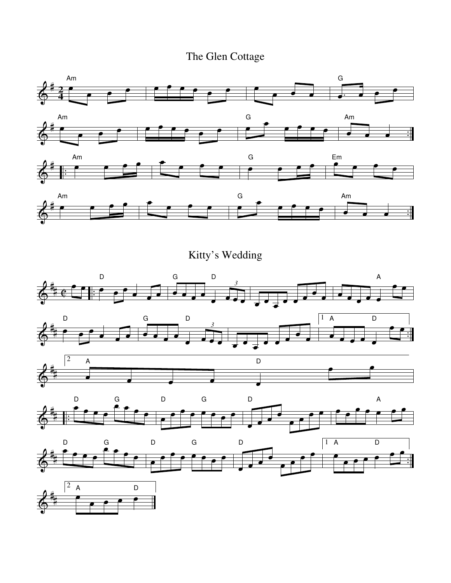### The Glen Cottage



Kitty's Wedding











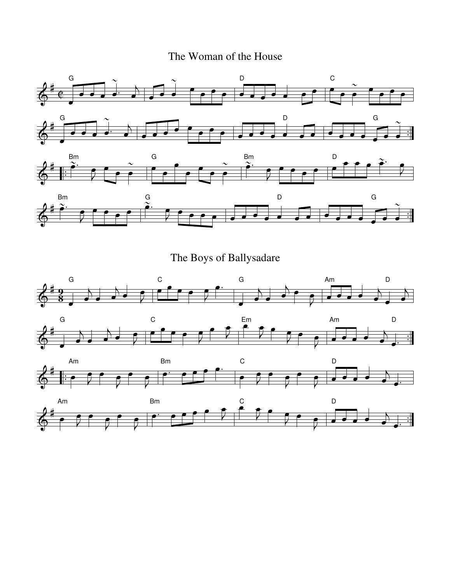#### The Woman of the House



The Boys of Ballysadare







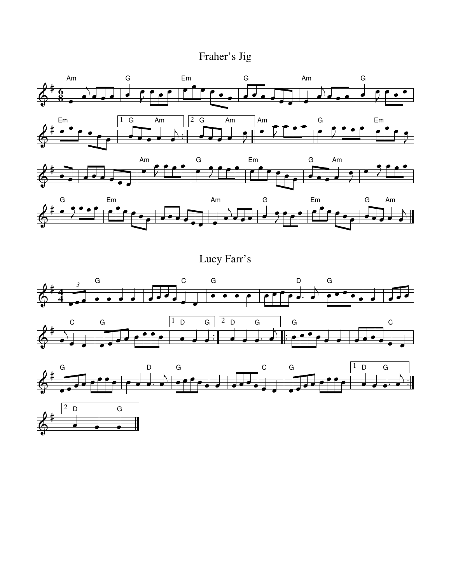Fraher's Jig







Lucy Farr's